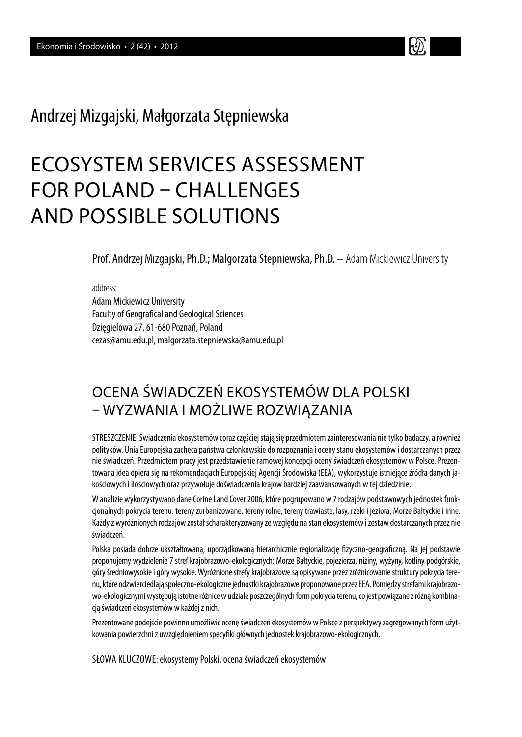## Andrzej Mizgajski, Małgorzata Stępniewska

# ECOSYSTEM SERVICES ASSESSMENT FOR POLAND – CHALLENGES AND POSSIBLE SOLUTIONS

Prof. Andrzej Mizgajski, Ph.D.; Malgorzata Stepniewska, Ph.D. – Adam Mickiewicz University

address:

Adam Mickiewicz University Faculty of Geografical and Geological Sciences Dzięgielowa 27, 61-680 Poznań, Poland cezas@amu.edu.pl, malgorzata.stepniewska@amu.edu.pl

## OCENA ŚWIADCZEŃ EKOSYSTEMÓW DLA POLSKI – WYZWANIA I MOŻLIWE ROZWIĄZANIA

STRESZCZENIE: Świadczenia ekosystemów coraz częściej stają się przedmiotem zainteresowania nie tylko badaczy, a również polityków. Unia Europejska zachęca państwa członkowskie do rozpoznania i oceny stanu ekosystemów i dostarczanych przez nie świadczeń. Przedmiotem pracy jest przedstawienie ramowej koncepcji oceny świadczeń ekosystemów w Polsce. Prezentowana idea opiera się na rekomendacjach Europejskiej Agencji Środowiska (EEA), wykorzystuje istniejące źródła danych jakościowych i ilościowych oraz przywołuje doświadczenia krajów bardziej zaawansowanych w tej dziedzinie.

W analizie wykorzystywano dane Corine Land Cover 2006, które pogrupowano w 7 rodzajów podstawowych jednostek funkcjonalnych pokrycia terenu: tereny zurbanizowane, tereny rolne, tereny trawiaste, lasy, rzeki i jeziora, Morze Bałtyckie i inne. Każdy z wyróżnionych rodzajów został scharakteryzowany ze względu na stan ekosystemów i zestaw dostarczanych przez nie świadczeń.

Polska posiada dobrze ukształtowaną, uporządkowaną hierarchicznie regionalizację fizyczno-geograficzną. Na jej podstawie proponujemy wydzielenie 7 stref krajobrazowo-ekologicznych: Morze Bałtyckie, pojezierza, niziny, wyżyny, kotliny podgórskie, góry średniowysokie i góry wysokie. Wyróżnione strefy krajobrazowe są opisywane przez zróżnicowanie struktury pokrycia terenu, które odzwierciedlają społeczno-ekologiczne jednostki krajobrazowe proponowane przez EEA. Pomiędzy strefami krajobrazowo-ekologicznymi występują istotne różnice w udziale poszczególnych form pokrycia terenu, co jest powiązane z różną kombinacją świadczeń ekosystemów w każdej z nich.

Prezentowane podejście powinno umożliwić ocenę świadczeń ekosystemów w Polsce z perspektywy zagregowanych form użytkowania powierzchni z uwzględnieniem specyfiki głównych jednostek krajobrazowo-ekologicznych.

SŁOWA KLUCZOWE: ekosystemy Polski, ocena świadczeń ekosystemów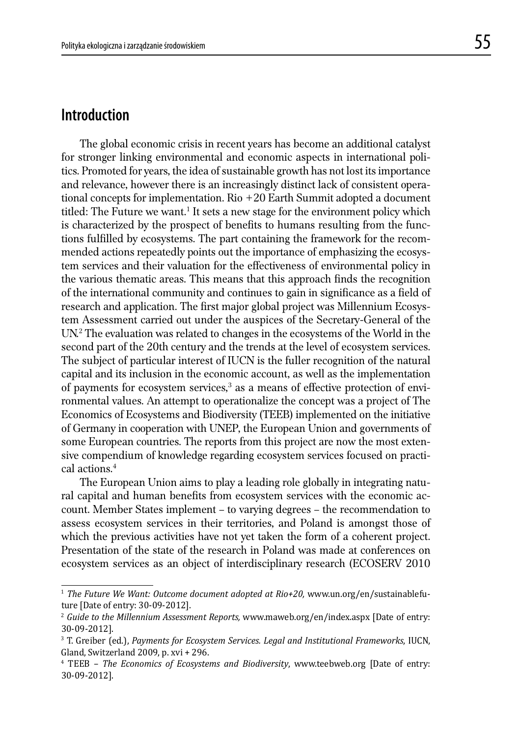## **Introduction**

 The global economic crisis in recent years has become an additional catalyst for stronger linking environmental and economic aspects in international politics. Promoted for years, the idea of sustainable growth has not lost its importance and relevance, however there is an increasingly distinct lack of consistent operational concepts for implementation. Rio +20 Earth Summit adopted a document titled: The Future we want.<sup>1</sup> It sets a new stage for the environment policy which is characterized by the prospect of benefits to humans resulting from the functions fulfilled by ecosystems. The part containing the framework for the recommended actions repeatedly points out the importance of emphasizing the ecosystem services and their valuation for the effectiveness of environmental policy in the various thematic areas. This means that this approach finds the recognition of the international community and continues to gain in significance as a field of research and application. The first major global project was Millennium Ecosystem Assessment carried out under the auspices of the Secretary-General of the UN.2 The evaluation was related to changes in the ecosystems of the World in the second part of the 20th century and the trends at the level of ecosystem services. The subject of particular interest of IUCN is the fuller recognition of the natural capital and its inclusion in the economic account, as well as the implementation of payments for ecosystem services, $3$  as a means of effective protection of environmental values. An attempt to operationalize the concept was a project of The Economics of Ecosystems and Biodiversity (TEEB) implemented on the initiative of Germany in cooperation with UNEP, the European Union and governments of some European countries. The reports from this project are now the most extensive compendium of knowledge regarding ecosystem services focused on practical actions.4

 The European Union aims to play a leading role globally in integrating natural capital and human benefits from ecosystem services with the economic account. Member States implement – to varying degrees – the recommendation to assess ecosystem services in their territories, and Poland is amongst those of which the previous activities have not yet taken the form of a coherent project. Presentation of the state of the research in Poland was made at conferences on ecosystem services as an object of interdisciplinary research (ECOSERV 2010

<sup>&</sup>lt;sup>1</sup> The Future We Want: Outcome document adopted at Rio+20, www.un.org/en/sustainablefuture [Date of entry: 30-09-2012].

<sup>2</sup> *Guide to the Millennium Assessment Reports,* www.maweb.org/en/index.aspx [Date of entry: 30-09-2012].

<sup>3</sup> T. Greiber (ed.), *Payments for Ecosystem Services. Legal and Institutional Frameworks*, IUCN, Gland, Switzerland 2009, p. xvi + 296.

<sup>4</sup> TEEB – *The Economics of Ecosystems and Biodiversity*, www.teebweb.org [Date of entry: 30-09-2012].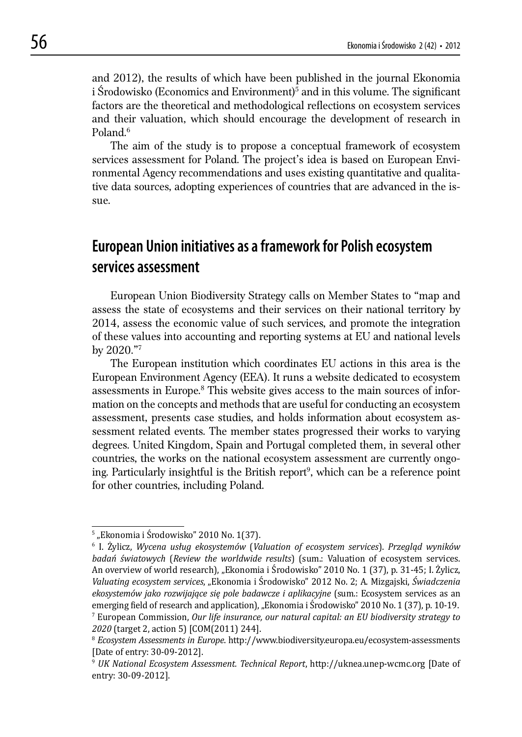and 2012), the results of which have been published in the journal Ekonomia i Srodowisko (Economics and Environment)<sup>5</sup> and in this volume. The significant factors are the theoretical and methodological reflections on ecosystem services and their valuation, which should encourage the development of research in Poland.6

 The aim of the study is to propose a conceptual framework of ecosystem services assessment for Poland. The project's idea is based on European Environmental Agency recommendations and uses existing quantitative and qualitative data sources, adopting experiences of countries that are advanced in the issue.

## **European Union initiatives as a framework for Polish ecosystem services assessment**

 European Union Biodiversity Strategy calls on Member States to "map and assess the state of ecosystems and their services on their national territory by 2014, assess the economic value of such services, and promote the integration of these values into accounting and reporting systems at EU and national levels by 2020."7

 The European institution which coordinates EU actions in this area is the European Environment Agency (EEA). It runs a website dedicated to ecosystem assessments in Europe.<sup>8</sup> This website gives access to the main sources of information on the concepts and methods that are useful for conducting an ecosystem assessment, presents case studies, and holds information about ecosystem assessment related events. The member states progressed their works to varying degrees. United Kingdom, Spain and Portugal completed them, in several other countries, the works on the national ecosystem assessment are currently ongoing. Particularly insightful is the British report<sup>9</sup>, which can be a reference point for other countries, including Poland.

<sup>&</sup>lt;sup>5</sup> "Ekonomia i Środowisko" 2010 No. 1(37).

<sup>6</sup> I. Żylicz, *Wycena usług ekosystemów* (*Valuation of ecosystem services*). *Przegląd wyników badań światowych* (*Review the worldwide results*) (sum.: Valuation of ecosystem services. An overview of world research), "Ekonomia i Środowisko" 2010 No. 1 (37), p. 31-45; I. Żylicz, *Valuating ecosystem services*, "Ekonomia i Środowisko" 2012 No. 2; A. Mizgajski, *Świadczenia ekosystemów jako rozwijające się pole badawcze i aplikacyjne* (sum.: Ecosystem services as an emerging field of research and application), "Ekonomia i Środowisko" 2010 No. 1 (37), p. 10-19. 7 European Commission, *Our life insurance, our natural capital: an EU biodiversity strategy to 2020* (target 2, action 5) [COM(2011) 244].

<sup>8</sup> *Ecosystem Assessments in Europe*. http://www.biodiversity.europa.eu/ecosystem-assessments [Date of entry: 30-09-2012].

<sup>9</sup> *UK National Ecosystem Assessment. Technical Report*, http://uknea.unep-wcmc.org [Date of entry: 30-09-2012].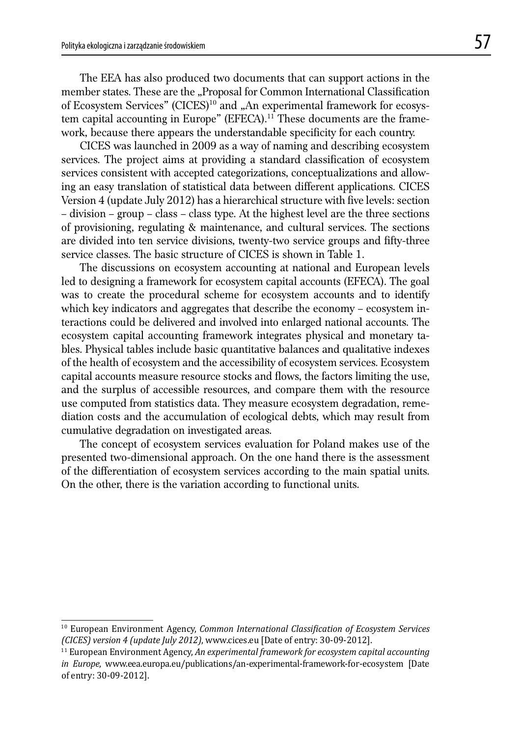The EEA has also produced two documents that can support actions in the member states. These are the "Proposal for Common International Classification of Ecosystem Services" (CICES)<sup>10</sup> and "An experimental framework for ecosystem capital accounting in Europe" (EFECA).<sup>11</sup> These documents are the framework, because there appears the understandable specificity for each country.

 CICES was launched in 2009 as a way of naming and describing ecosystem services. The project aims at providing a standard classification of ecosystem services consistent with accepted categorizations, conceptualizations and allowing an easy translation of statistical data between different applications. CICES Version 4 (update July 2012) has a hierarchical structure with five levels: section – division – group – class – class type. At the highest level are the three sections of provisioning, regulating & maintenance, and cultural services. The sections are divided into ten service divisions, twenty-two service groups and fifty-three service classes. The basic structure of CICES is shown in Table 1.

 The discussions on ecosystem accounting at national and European levels led to designing a framework for ecosystem capital accounts (EFECA). The goal was to create the procedural scheme for ecosystem accounts and to identify which key indicators and aggregates that describe the economy – ecosystem interactions could be delivered and involved into enlarged national accounts. The ecosystem capital accounting framework integrates physical and monetary tables. Physical tables include basic quantitative balances and qualitative indexes of the health of ecosystem and the accessibility of ecosystem services. Ecosystem capital accounts measure resource stocks and flows, the factors limiting the use, and the surplus of accessible resources, and compare them with the resource use computed from statistics data. They measure ecosystem degradation, remediation costs and the accumulation of ecological debts, which may result from cumulative degradation on investigated areas.

 The concept of ecosystem services evaluation for Poland makes use of the presented two-dimensional approach. On the one hand there is the assessment of the differentiation of ecosystem services according to the main spatial units. On the other, there is the variation according to functional units.

<sup>&</sup>lt;sup>10</sup> European Environment Agency, *Common International Classification of Ecosystem Services (CICES) version 4 (update July 2012)*, www.cices.eu [Date of entry: 30-09-2012].

<sup>11</sup> European Environment Agency, *An experimental framework for ecosystem capital accounting in Europe*, www.eea.europa.eu/publications/an-experimental-framework-for-ecosystem [Date of entry: 30-09-2012].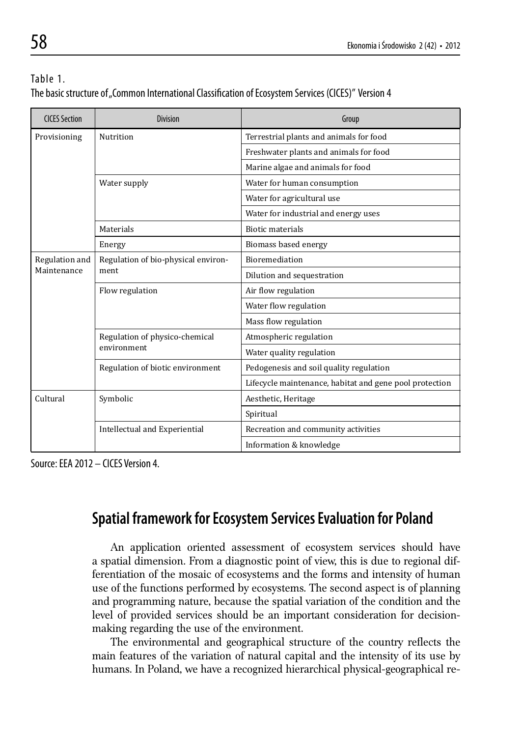| Table 1.                                                                                             |  |
|------------------------------------------------------------------------------------------------------|--|
| The basic structure of "Common International Classification of Ecosystem Services (CICES)" Version 4 |  |

| <b>CICES Section</b> | <b>Division</b>                               | Group                                                   |
|----------------------|-----------------------------------------------|---------------------------------------------------------|
| Provisioning         | Nutrition                                     | Terrestrial plants and animals for food                 |
|                      |                                               | Freshwater plants and animals for food                  |
|                      |                                               | Marine algae and animals for food                       |
|                      | Water supply                                  | Water for human consumption                             |
|                      |                                               | Water for agricultural use                              |
|                      |                                               | Water for industrial and energy uses                    |
|                      | Materials                                     | <b>Biotic materials</b>                                 |
|                      | Energy                                        | Biomass based energy                                    |
| Regulation and       | Regulation of bio-physical environ-<br>ment   | <b>Bioremediation</b>                                   |
| Maintenance          |                                               | Dilution and sequestration                              |
|                      | Flow regulation                               | Air flow regulation                                     |
|                      |                                               | Water flow regulation                                   |
|                      |                                               | Mass flow regulation                                    |
|                      | Regulation of physico-chemical<br>environment | Atmospheric regulation                                  |
|                      |                                               | Water quality regulation                                |
|                      | Regulation of biotic environment              | Pedogenesis and soil quality regulation                 |
|                      |                                               | Lifecycle maintenance, habitat and gene pool protection |
| Cultural             | Symbolic                                      | Aesthetic, Heritage                                     |
|                      |                                               | Spiritual                                               |
|                      | Intellectual and Experiential                 | Recreation and community activities                     |
|                      |                                               | Information & knowledge                                 |

Source: EEA 2012 – CICES Version 4.

## **Spatial framework for Ecosystem Services Evaluation for Poland**

 An application oriented assessment of ecosystem services should have a spatial dimension. From a diagnostic point of view, this is due to regional differentiation of the mosaic of ecosystems and the forms and intensity of human use of the functions performed by ecosystems. The second aspect is of planning and programming nature, because the spatial variation of the condition and the level of provided services should be an important consideration for decisionmaking regarding the use of the environment.

The environmental and geographical structure of the country reflects the main features of the variation of natural capital and the intensity of its use by humans. In Poland, we have a recognized hierarchical physical-geographical re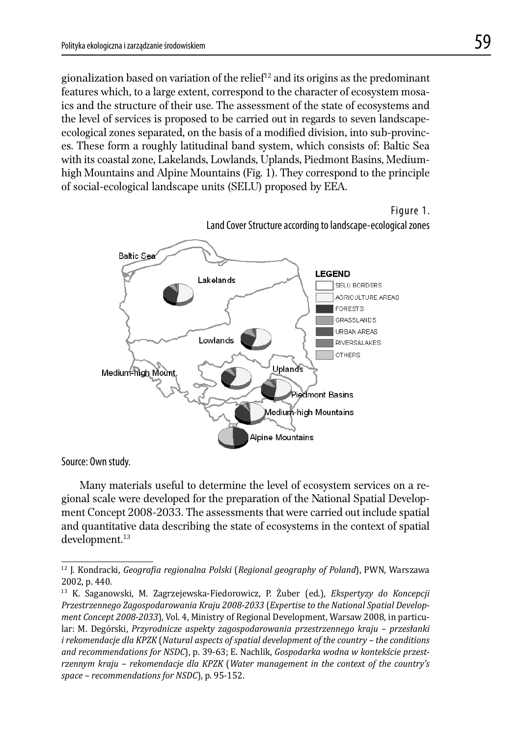gionalization based on variation of the relief<sup>12</sup> and its origins as the predominant features which, to a large extent, correspond to the character of ecosystem mosaics and the structure of their use. The assessment of the state of ecosystems and the level of services is proposed to be carried out in regards to seven landscapeecological zones separated, on the basis of a modified division, into sub-provinces. These form a roughly latitudinal band system, which consists of: Baltic Sea with its coastal zone, Lakelands, Lowlands, Uplands, Piedmont Basins, Mediumhigh Mountains and Alpine Mountains (Fig. 1). They correspond to the principle of social-ecological landscape units (SELU) proposed by EEA.

Figure 1. Land Cover Structure according to landscape-ecological zones **LEGEND** SELU BORDERS AGRICULTURE AREAS



Source: Own study.

 Many materials useful to determine the level of ecosystem services on a regional scale were developed for the preparation of the National Spatial Development Concept 2008-2033. The assessments that were carried out include spatial and quantitative data describing the state of ecosystems in the context of spatial development.13

<sup>12</sup> J. Kondracki, *Geograϔia regionalna Polski* (*Regional geography of Poland*), PWN, Warszawa 2002, p. 440.

<sup>13</sup> K. Saganowski, M. Zagrzejewska-Fiedorowicz, P. Żuber (ed.), *Ekspertyzy do Koncepcji Przestrzennego Zagospodarowania Kraju 2008-2033* (*Expertise to the National Spatial Development Concept 2008-2033*), Vol. 4, Ministry of Regional Development, Warsaw 2008, in particular: M. Degórski, *Przyrodnicze aspekty zagospodarowania przestrzennego kraju – przesłanki i rekomendacje dla KPZK* (*Natural aspects of spatial development of the country – the conditions and recommendations for NSDC*), p. 39-63; E. Nachlik, *Gospodarka wodna w kontekście przestrzennym kraju – rekomendacje dla KPZK* (*Water management in the context of the country's space – recommendations for NSDC*), p. 95-152.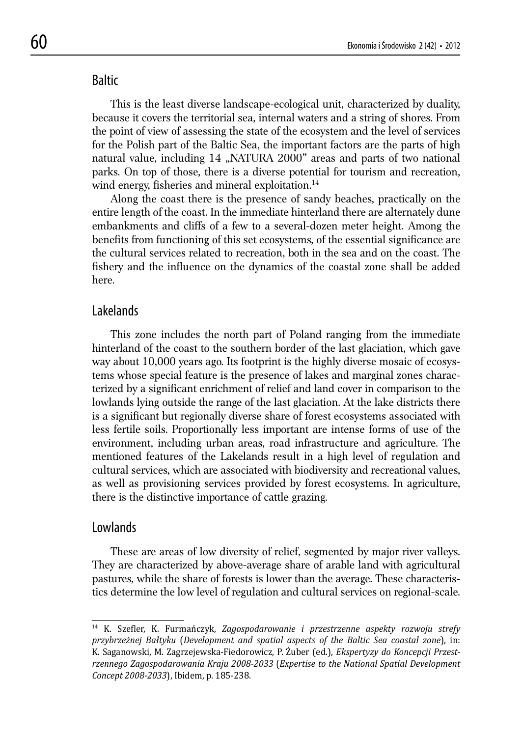## **Baltic**

 This is the least diverse landscape-ecological unit, characterized by duality, because it covers the territorial sea, internal waters and a string of shores. From the point of view of assessing the state of the ecosystem and the level of services for the Polish part of the Baltic Sea, the important factors are the parts of high natural value, including 14 "NATURA 2000" areas and parts of two national parks. On top of those, there is a diverse potential for tourism and recreation, wind energy, fisheries and mineral exploitation. $14$ 

 Along the coast there is the presence of sandy beaches, practically on the entire length of the coast. In the immediate hinterland there are alternately dune embankments and cliffs of a few to a several-dozen meter height. Among the benefits from functioning of this set ecosystems, of the essential significance are the cultural services related to recreation, both in the sea and on the coast. The fishery and the influence on the dynamics of the coastal zone shall be added here.

## Lakelands

 This zone includes the north part of Poland ranging from the immediate hinterland of the coast to the southern border of the last glaciation, which gave way about 10,000 years ago. Its footprint is the highly diverse mosaic of ecosystems whose special feature is the presence of lakes and marginal zones characterized by a significant enrichment of relief and land cover in comparison to the lowlands lying outside the range of the last glaciation. At the lake districts there is a significant but regionally diverse share of forest ecosystems associated with less fertile soils. Proportionally less important are intense forms of use of the environment, including urban areas, road infrastructure and agriculture. The mentioned features of the Lakelands result in a high level of regulation and cultural services, which are associated with biodiversity and recreational values, as well as provisioning services provided by forest ecosystems. In agriculture, there is the distinctive importance of cattle grazing.

### Lowlands

 These are areas of low diversity of relief, segmented by major river valleys. They are characterized by above-average share of arable land with agricultural pastures, while the share of forests is lower than the average. These characteristics determine the low level of regulation and cultural services on regional-scale.

<sup>&</sup>lt;sup>14</sup> K. Szefler, K. Furmańczyk, Zagospodarowanie i przestrzenne aspekty rozwoju strefy *przybrzeżnej Bałtyku* (*Development and spatial aspects of the Baltic Sea coastal zone*), in: K. Saganowski, M. Zagrzejewska-Fiedorowicz, P. Żuber (ed.), *Ekspertyzy do Koncepcji Przestrzennego Zagospodarowania Kraju 2008-2033* (*Expertise to the National Spatial Development Concept 2008-2033*), Ibidem, p. 185-238.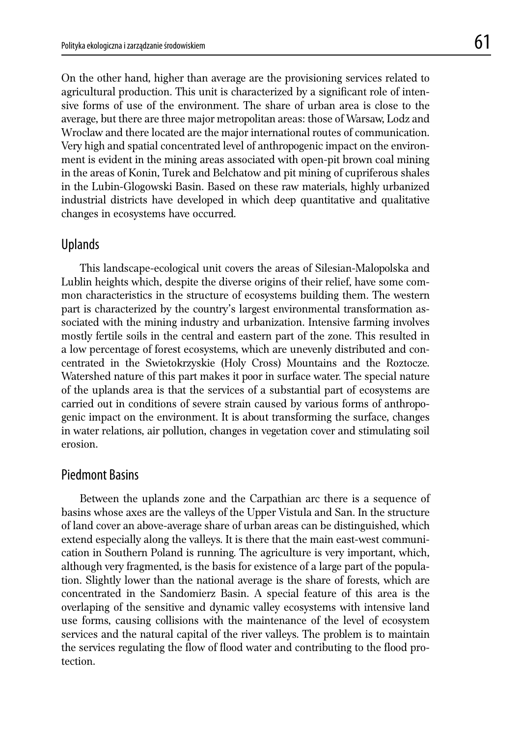On the other hand, higher than average are the provisioning services related to agricultural production. This unit is characterized by a significant role of intensive forms of use of the environment. The share of urban area is close to the average, but there are three major metropolitan areas: those of Warsaw, Lodz and Wroclaw and there located are the major international routes of communication. Very high and spatial concentrated level of anthropogenic impact on the environment is evident in the mining areas associated with open-pit brown coal mining in the areas of Konin, Turek and Belchatow and pit mining of cupriferous shales in the Lubin-Glogowski Basin. Based on these raw materials, highly urbanized industrial districts have developed in which deep quantitative and qualitative changes in ecosystems have occurred.

### Uplands

 This landscape-ecological unit covers the areas of Silesian-Malopolska and Lublin heights which, despite the diverse origins of their relief, have some common characteristics in the structure of ecosystems building them. The western part is characterized by the country's largest environmental transformation associated with the mining industry and urbanization. Intensive farming involves mostly fertile soils in the central and eastern part of the zone. This resulted in a low percentage of forest ecosystems, which are unevenly distributed and concentrated in the Swietokrzyskie (Holy Cross) Mountains and the Roztocze. Watershed nature of this part makes it poor in surface water. The special nature of the uplands area is that the services of a substantial part of ecosystems are carried out in conditions of severe strain caused by various forms of anthropogenic impact on the environment. It is about transforming the surface, changes in water relations, air pollution, changes in vegetation cover and stimulating soil erosion.

## Piedmont Basins

 Between the uplands zone and the Carpathian arc there is a sequence of basins whose axes are the valleys of the Upper Vistula and San. In the structure of land cover an above-average share of urban areas can be distinguished, which extend especially along the valleys. It is there that the main east-west communication in Southern Poland is running. The agriculture is very important, which, although very fragmented, is the basis for existence of a large part of the population. Slightly lower than the national average is the share of forests, which are concentrated in the Sandomierz Basin. A special feature of this area is the overlaping of the sensitive and dynamic valley ecosystems with intensive land use forms, causing collisions with the maintenance of the level of ecosystem services and the natural capital of the river valleys. The problem is to maintain the services regulating the flow of flood water and contributing to the flood protection.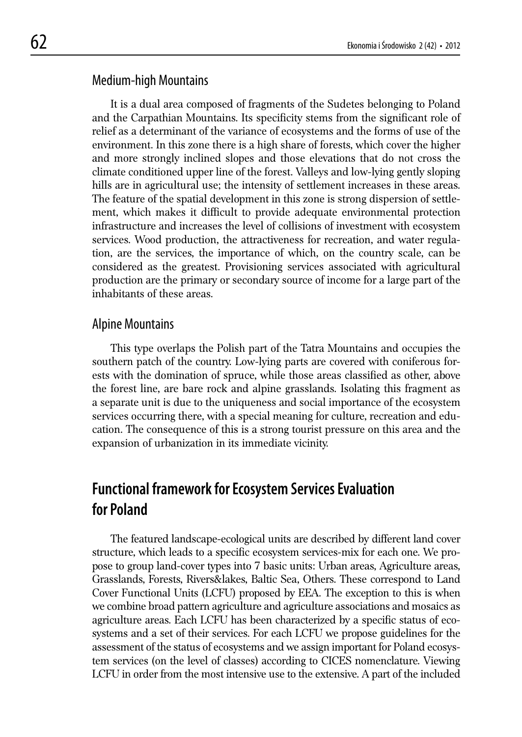## Medium-high Mountains

 It is a dual area composed of fragments of the Sudetes belonging to Poland and the Carpathian Mountains. Its specificity stems from the significant role of relief as a determinant of the variance of ecosystems and the forms of use of the environment. In this zone there is a high share of forests, which cover the higher and more strongly inclined slopes and those elevations that do not cross the climate conditioned upper line of the forest. Valleys and low-lying gently sloping hills are in agricultural use; the intensity of settlement increases in these areas. The feature of the spatial development in this zone is strong dispersion of settlement, which makes it difficult to provide adequate environmental protection infrastructure and increases the level of collisions of investment with ecosystem services. Wood production, the attractiveness for recreation, and water regulation, are the services, the importance of which, on the country scale, can be considered as the greatest. Provisioning services associated with agricultural production are the primary or secondary source of income for a large part of the inhabitants of these areas.

### Alpine Mountains

 This type overlaps the Polish part of the Tatra Mountains and occupies the southern patch of the country. Low-lying parts are covered with coniferous forests with the domination of spruce, while those areas classified as other, above the forest line, are bare rock and alpine grasslands. Isolating this fragment as a separate unit is due to the uniqueness and social importance of the ecosystem services occurring there, with a special meaning for culture, recreation and education. The consequence of this is a strong tourist pressure on this area and the expansion of urbanization in its immediate vicinity.

## **Functional framework for Ecosystem Services Evaluation for Poland**

The featured landscape-ecological units are described by different land cover structure, which leads to a specific ecosystem services-mix for each one. We propose to group land-cover types into 7 basic units: Urban areas, Agriculture areas, Grasslands, Forests, Rivers&lakes, Baltic Sea, Others. These correspond to Land Cover Functional Units (LCFU) proposed by EEA. The exception to this is when we combine broad pattern agriculture and agriculture associations and mosaics as agriculture areas. Each LCFU has been characterized by a specific status of ecosystems and a set of their services. For each LCFU we propose guidelines for the assessment of the status of ecosystems and we assign important for Poland ecosystem services (on the level of classes) according to CICES nomenclature. Viewing LCFU in order from the most intensive use to the extensive. A part of the included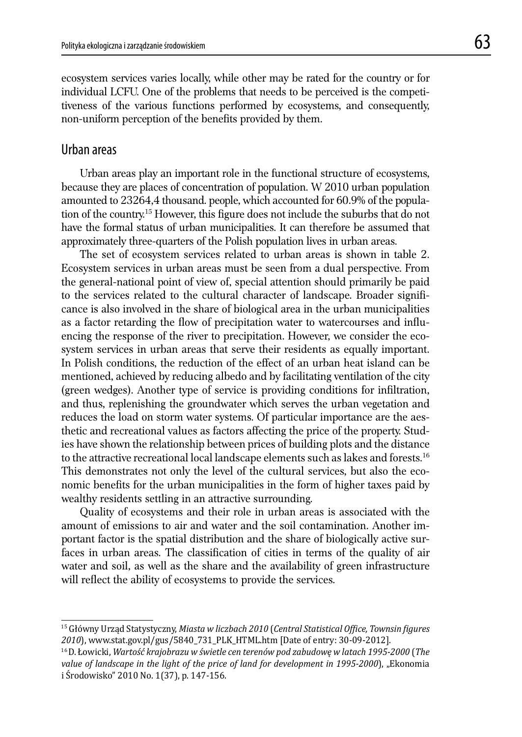ecosystem services varies locally, while other may be rated for the country or for individual LCFU. One of the problems that needs to be perceived is the competitiveness of the various functions performed by ecosystems, and consequently, non-uniform perception of the benefits provided by them.

## Urban areas

 Urban areas play an important role in the functional structure of ecosystems, because they are places of concentration of population. W 2010 urban population amounted to 23264,4 thousand. people, which accounted for 60.9% of the population of the country.<sup>15</sup> However, this figure does not include the suburbs that do not have the formal status of urban municipalities. It can therefore be assumed that approximately three-quarters of the Polish population lives in urban areas.

 The set of ecosystem services related to urban areas is shown in table 2. Ecosystem services in urban areas must be seen from a dual perspective. From the general-national point of view of, special attention should primarily be paid to the services related to the cultural character of landscape. Broader significance is also involved in the share of biological area in the urban municipalities as a factor retarding the flow of precipitation water to watercourses and influencing the response of the river to precipitation. However, we consider the ecosystem services in urban areas that serve their residents as equally important. In Polish conditions, the reduction of the effect of an urban heat island can be mentioned, achieved by reducing albedo and by facilitating ventilation of the city (green wedges). Another type of service is providing conditions for infiltration, and thus, replenishing the groundwater which serves the urban vegetation and reduces the load on storm water systems. Of particular importance are the aesthetic and recreational values as factors affecting the price of the property. Studies have shown the relationship between prices of building plots and the distance to the attractive recreational local landscape elements such as lakes and forests.16 This demonstrates not only the level of the cultural services, but also the economic benefits for the urban municipalities in the form of higher taxes paid by wealthy residents settling in an attractive surrounding.

 Quality of ecosystems and their role in urban areas is associated with the amount of emissions to air and water and the soil contamination. Another important factor is the spatial distribution and the share of biologically active surfaces in urban areas. The classification of cities in terms of the quality of air water and soil, as well as the share and the availability of green infrastructure will reflect the ability of ecosystems to provide the services.

<sup>15</sup> Główny Urząd Statystyczny, Miasta w liczbach 2010 (Central Statistical Office, Townsin figures *2010*), www.stat.gov.pl/gus/5840\_731\_PLK\_HTML.htm [Date of entry: 30-09-2012].

<sup>16</sup> D. Łowicki, *Wartość krajobrazu w świetle cen terenów pod zabudowę w latach 1995-2000* (*The*  value of landscape in the light of the price of land for development in 1995-2000), "Ekonomia i Środowisko" 2010 No. 1(37), p. 147-156.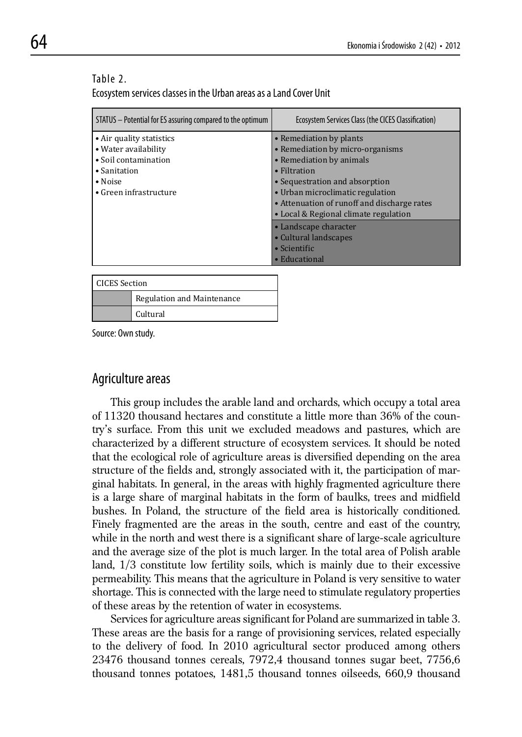#### Table 2.

Ecosystem services classes in the Urban areas as a Land Cover Unit

| STATUS – Potential for ES assuring compared to the optimum                                                                            | Ecosystem Services Class (the CICES Classification)                                                                                                                                                                                  |
|---------------------------------------------------------------------------------------------------------------------------------------|--------------------------------------------------------------------------------------------------------------------------------------------------------------------------------------------------------------------------------------|
| • Air quality statistics<br>• Water availability<br>• Soil contamination<br>• Sanitation<br>$\bullet$ Noise<br>• Green infrastructure | • Remediation by plants<br>• Remediation by micro-organisms<br>• Remediation by animals<br>$\bullet$ Filtration<br>• Sequestration and absorption<br>• Urban microclimatic regulation<br>• Attenuation of runoff and discharge rates |
|                                                                                                                                       | • Local & Regional climate regulation<br>• Landscape character<br>• Cultural landscapes<br>$\bullet$ Scientific<br>• Educational                                                                                                     |

| CICES Section |                            |
|---------------|----------------------------|
|               | Regulation and Maintenance |
|               | Cultural                   |

Source: Own study.

### Agriculture areas

 This group includes the arable land and orchards, which occupy a total area of 11320 thousand hectares and constitute a little more than 36% of the country's surface. From this unit we excluded meadows and pastures, which are characterized by a different structure of ecosystem services. It should be noted that the ecological role of agriculture areas is diversified depending on the area structure of the fields and, strongly associated with it, the participation of marginal habitats. In general, in the areas with highly fragmented agriculture there is a large share of marginal habitats in the form of baulks, trees and midfield bushes. In Poland, the structure of the field area is historically conditioned. Finely fragmented are the areas in the south, centre and east of the country, while in the north and west there is a significant share of large-scale agriculture and the average size of the plot is much larger. In the total area of Polish arable land, 1/3 constitute low fertility soils, which is mainly due to their excessive permeability. This means that the agriculture in Poland is very sensitive to water shortage. This is connected with the large need to stimulate regulatory properties of these areas by the retention of water in ecosystems.

Services for agriculture areas significant for Poland are summarized in table 3. These areas are the basis for a range of provisioning services, related especially to the delivery of food. In 2010 agricultural sector produced among others 23476 thousand tonnes cereals, 7972,4 thousand tonnes sugar beet, 7756,6 thousand tonnes potatoes, 1481,5 thousand tonnes oilseeds, 660,9 thousand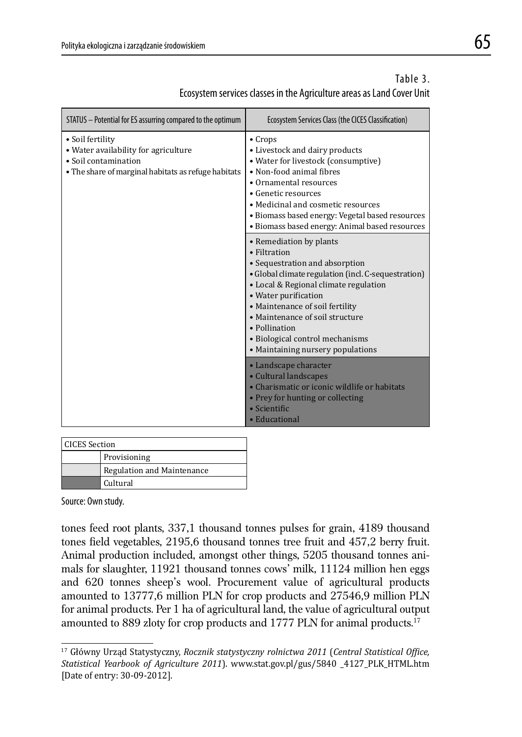| Table 3.                                                               |  |
|------------------------------------------------------------------------|--|
| Ecosystem services classes in the Agriculture areas as Land Cover Unit |  |

| STATUS - Potential for ES assurring compared to the optimum                                                                             | Ecosystem Services Class (the CICES Classification)                                                                                                                                                                                                                                                                                                              |
|-----------------------------------------------------------------------------------------------------------------------------------------|------------------------------------------------------------------------------------------------------------------------------------------------------------------------------------------------------------------------------------------------------------------------------------------------------------------------------------------------------------------|
| • Soil fertility<br>• Water availability for agriculture<br>• Soil contamination<br>• The share of marginal habitats as refuge habitats | $\bullet$ Crops<br>• Livestock and dairy products<br>• Water for livestock (consumptive)<br>• Non-food animal fibres<br>• Ornamental resources<br>• Genetic resources<br>• Medicinal and cosmetic resources<br>• Biomass based energy: Vegetal based resources<br>• Biomass based energy: Animal based resources                                                 |
|                                                                                                                                         | • Remediation by plants<br>• Filtration<br>• Sequestration and absorption<br>• Global climate regulation (incl. C-sequestration)<br>· Local & Regional climate regulation<br>• Water purification<br>• Maintenance of soil fertility<br>• Maintenance of soil structure<br>• Pollination<br>· Biological control mechanisms<br>• Maintaining nursery populations |
|                                                                                                                                         | • Landscape character<br>• Cultural landscapes<br>• Charismatic or iconic wildlife or habitats<br>• Prey for hunting or collecting<br>$\bullet$ Scientific<br>• Educational                                                                                                                                                                                      |

| <b>CICES</b> Section |                            |
|----------------------|----------------------------|
|                      | Provisioning               |
|                      | Regulation and Maintenance |
|                      | Cultural                   |

Source: Own study.

tones feed root plants, 337,1 thousand tonnes pulses for grain, 4189 thousand tones field vegetables, 2195,6 thousand tonnes tree fruit and 457,2 berry fruit. Animal production included, amongst other things, 5205 thousand tonnes animals for slaughter, 11921 thousand tonnes cows' milk, 11124 million hen eggs and 620 tonnes sheep's wool. Procurement value of agricultural products amounted to 13777,6 million PLN for crop products and 27546,9 million PLN for animal products. Per 1 ha of agricultural land, the value of agricultural output amounted to 889 zloty for crop products and 1777 PLN for animal products.<sup>17</sup>

<sup>&</sup>lt;sup>17</sup> Główny Urząd Statystyczny, *Rocznik statystyczny rolnictwa 2011* (*Central Statistical Office*, *Statistical Yearbook of Agriculture 2011*). www.stat.gov.pl/gus/5840 \_4127\_PLK\_HTML.htm [Date of entry: 30-09-2012].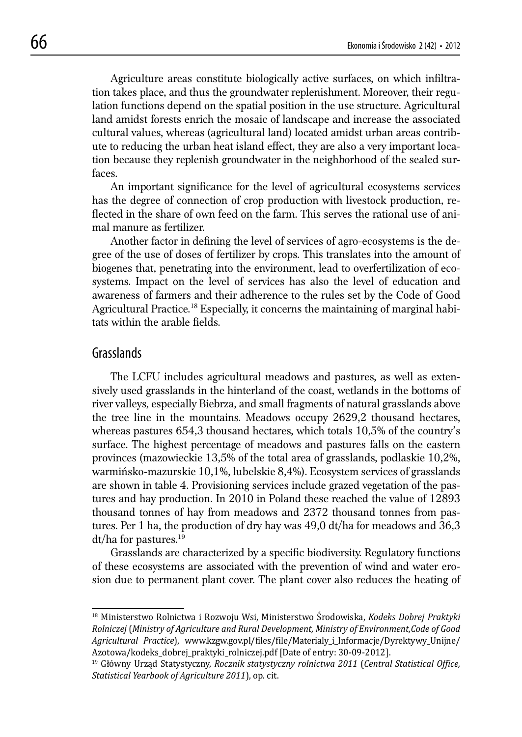Agriculture areas constitute biologically active surfaces, on which infiltration takes place, and thus the groundwater replenishment. Moreover, their regulation functions depend on the spatial position in the use structure. Agricultural land amidst forests enrich the mosaic of landscape and increase the associated cultural values, whereas (agricultural land) located amidst urban areas contribute to reducing the urban heat island effect, they are also a very important location because they replenish groundwater in the neighborhood of the sealed surfaces.

An important significance for the level of agricultural ecosystems services has the degree of connection of crop production with livestock production, reflected in the share of own feed on the farm. This serves the rational use of animal manure as fertilizer.

Another factor in defining the level of services of agro-ecosystems is the degree of the use of doses of fertilizer by crops. This translates into the amount of biogenes that, penetrating into the environment, lead to overfertilization of ecosystems. Impact on the level of services has also the level of education and awareness of farmers and their adherence to the rules set by the Code of Good Agricultural Practice.<sup>18</sup> Especially, it concerns the maintaining of marginal habitats within the arable fields.

## Grasslands

 The LCFU includes agricultural meadows and pastures, as well as extensively used grasslands in the hinterland of the coast, wetlands in the bottoms of river valleys, especially Biebrza, and small fragments of natural grasslands above the tree line in the mountains. Meadows occupy 2629,2 thousand hectares, whereas pastures 654,3 thousand hectares, which totals 10,5% of the country's surface. The highest percentage of meadows and pastures falls on the eastern provinces (mazowieckie 13,5% of the total area of grasslands, podlaskie 10,2%, warmińsko-mazurskie 10,1%, lubelskie 8,4%). Ecosystem services of grasslands are shown in table 4. Provisioning services include grazed vegetation of the pastures and hay production. In 2010 in Poland these reached the value of 12893 thousand tonnes of hay from meadows and 2372 thousand tonnes from pastures. Per 1 ha, the production of dry hay was 49,0 dt/ha for meadows and 36,3 dt/ha for pastures.19

Grasslands are characterized by a specific biodiversity. Regulatory functions of these ecosystems are associated with the prevention of wind and water erosion due to permanent plant cover. The plant cover also reduces the heating of

<sup>18</sup> Ministerstwo Rolnictwa i Rozwoju Wsi, Ministerstwo Środowiska, *Kodeks Dobrej Praktyki Rolniczej* (*Ministry of Agriculture and Rural Development, Ministry of Environment,Code of Good Agricultural Practice*), www.kzgw.gov.pl/ϐiles/ϐile/Materialy\_i\_Informacje/Dyrektywy\_Unijne/ Azotowa/kodeks\_dobrej\_praktyki\_rolniczej.pdf [Date of entry: 30-09-2012].

<sup>19</sup> Główny Urząd Statystyczny, *Rocznik statystyczny rolnictwa 2011* (*Central Statistical Ofϔice, Statistical Yearbook of Agriculture 2011*), op. cit.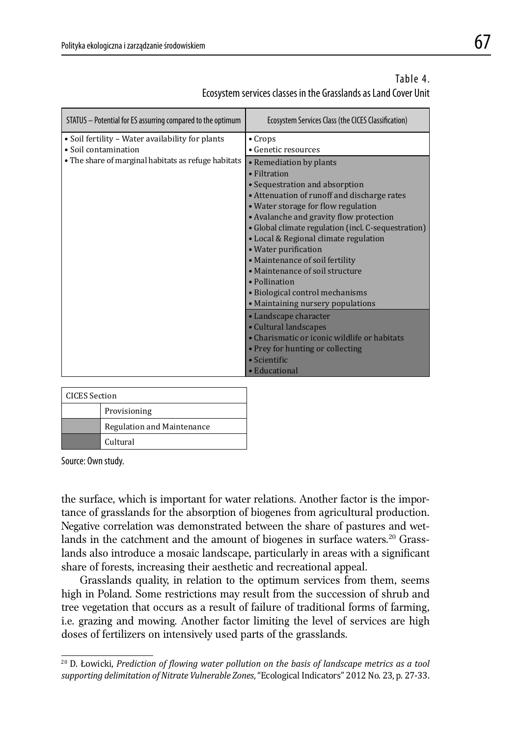| STATUS - Potential for ES assurring compared to the optimum | Ecosystem Services Class (the CICES Classification) |
|-------------------------------------------------------------|-----------------------------------------------------|
| • Soil fertility – Water availability for plants            | $\bullet$ Crops                                     |
| • Soil contamination                                        | • Genetic resources                                 |
| • The share of marginal habitats as refuge habitats         | • Remediation by plants                             |
|                                                             | • Filtration                                        |
|                                                             | • Sequestration and absorption                      |
|                                                             | • Attenuation of runoff and discharge rates         |
|                                                             | • Water storage for flow regulation                 |
|                                                             | • Avalanche and gravity flow protection             |
|                                                             | • Global climate regulation (incl. C-sequestration) |
|                                                             | • Local & Regional climate regulation               |
|                                                             | • Water purification                                |
|                                                             | • Maintenance of soil fertility                     |
|                                                             | • Maintenance of soil structure                     |
|                                                             | • Pollination                                       |
|                                                             | • Biological control mechanisms                     |
|                                                             | • Maintaining nursery populations                   |
|                                                             | • Landscape character                               |
|                                                             | • Cultural landscapes                               |
|                                                             | • Charismatic or iconic wildlife or habitats        |
|                                                             | • Prey for hunting or collecting                    |
|                                                             | • Scientific                                        |
|                                                             | • Educational                                       |

## Table 4. Ecosystem services classes in the Grasslands as Land Cover Unit

| <b>CICES</b> Section |                            |
|----------------------|----------------------------|
|                      | Provisioning               |
|                      | Regulation and Maintenance |
|                      | Cultural                   |

Source: Own study.

the surface, which is important for water relations. Another factor is the importance of grasslands for the absorption of biogenes from agricultural production. Negative correlation was demonstrated between the share of pastures and wetlands in the catchment and the amount of biogenes in surface waters.<sup>20</sup> Grasslands also introduce a mosaic landscape, particularly in areas with a significant share of forests, increasing their aesthetic and recreational appeal.

 Grasslands quality, in relation to the optimum services from them, seems high in Poland. Some restrictions may result from the succession of shrub and tree vegetation that occurs as a result of failure of traditional forms of farming, i.e. grazing and mowing. Another factor limiting the level of services are high doses of fertilizers on intensively used parts of the grasslands.

<sup>&</sup>lt;sup>20</sup> D. Łowicki, *Prediction of flowing water pollution on the basis of landscape metrics as a tool supporting delimitation of Nitrate Vulnerable Zones*, "Ecological Indicators" 2012 No. 23, p. 27-33.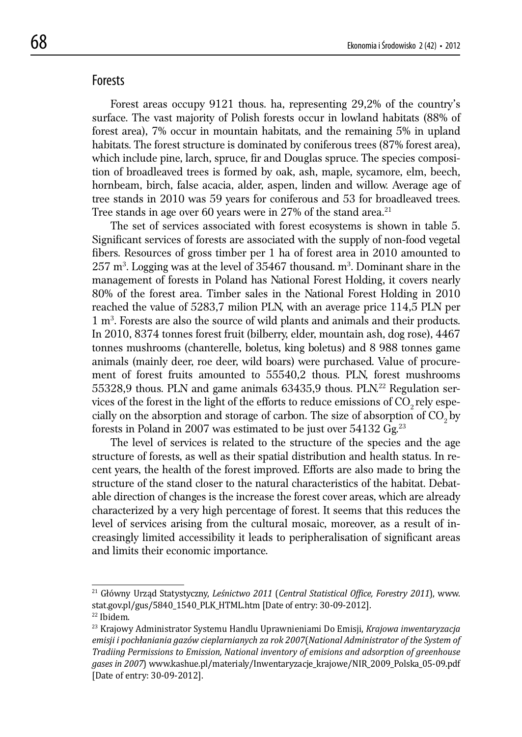### Forests

 Forest areas occupy 9121 thous. ha, representing 29,2% of the country's surface. The vast majority of Polish forests occur in lowland habitats (88% of forest area), 7% occur in mountain habitats, and the remaining 5% in upland habitats. The forest structure is dominated by coniferous trees (87% forest area), which include pine, larch, spruce, fir and Douglas spruce. The species composition of broadleaved trees is formed by oak, ash, maple, sycamore, elm, beech, hornbeam, birch, false acacia, alder, aspen, linden and willow. Average age of tree stands in 2010 was 59 years for coniferous and 53 for broadleaved trees. Tree stands in age over 60 years were in 27% of the stand area.<sup>21</sup>

 The set of services associated with forest ecosystems is shown in table 5. Significant services of forests are associated with the supply of non-food vegetal fibers. Resources of gross timber per 1 ha of forest area in 2010 amounted to  $257 \text{ m}^3$ . Logging was at the level of 35467 thousand.  $\text{m}^3$ . Dominant share in the management of forests in Poland has National Forest Holding, it covers nearly 80% of the forest area. Timber sales in the National Forest Holding in 2010 reached the value of 5283,7 milion PLN, with an average price 114,5 PLN per 1 m3 . Forests are also the source of wild plants and animals and their products. In 2010, 8374 tonnes forest fruit (bilberry, elder, mountain ash, dog rose), 4467 tonnes mushrooms (chanterelle, boletus, king boletus) and 8 988 tonnes game animals (mainly deer, roe deer, wild boars) were purchased. Value of procurement of forest fruits amounted to 55540,2 thous. PLN, forest mushrooms 55328,9 thous. PLN and game animals  $63435,9$  thous. PLN.<sup>22</sup> Regulation services of the forest in the light of the efforts to reduce emissions of  $CO<sub>2</sub>$  rely especially on the absorption and storage of carbon. The size of absorption of  $CO<sub>2</sub>$  by forests in Poland in 2007 was estimated to be just over  $54132$  Gg.<sup>23</sup>

 The level of services is related to the structure of the species and the age structure of forests, as well as their spatial distribution and health status. In recent years, the health of the forest improved. Efforts are also made to bring the structure of the stand closer to the natural characteristics of the habitat. Debatable direction of changes is the increase the forest cover areas, which are already characterized by a very high percentage of forest. It seems that this reduces the level of services arising from the cultural mosaic, moreover, as a result of increasingly limited accessibility it leads to peripheralisation of significant areas and limits their economic importance.

<sup>21</sup> Główny Urząd Statystyczny, *Leśnictwo 2011* (*Central Statistical Ofϔice, Forestry 2011*), www. stat.gov.pl/gus/5840\_1540\_PLK\_HTML.htm [Date of entry: 30-09-2012]. 22 Ibidem.

<sup>23</sup> Krajowy Administrator Systemu Handlu Uprawnieniami Do Emisji, *Krajowa inwentaryzacja emisji i pochłaniania gazów cieplarnianych za rok 2007*(*National Administrator of the System of Tradiing Permissions to Emission, National inventory of emisions and adsorption of greenhouse gases in 2007*) www.kashue.pl/materialy/Inwentaryzacje\_krajowe/NIR\_2009\_Polska\_05-09.pdf [Date of entry: 30-09-2012].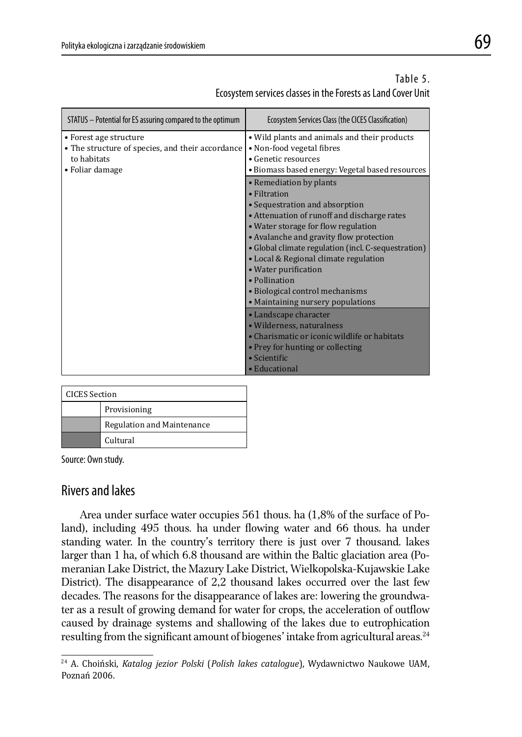| STATUS - Potential for ES assuring compared to the optimum                                                   | Ecosystem Services Class (the CICES Classification)                                                                                                                                                                                                                                                                                                                                                                         |
|--------------------------------------------------------------------------------------------------------------|-----------------------------------------------------------------------------------------------------------------------------------------------------------------------------------------------------------------------------------------------------------------------------------------------------------------------------------------------------------------------------------------------------------------------------|
| • Forest age structure<br>• The structure of species, and their accordance<br>to habitats<br>• Foliar damage | • Wild plants and animals and their products<br>• Non-food vegetal fibres<br>• Genetic resources<br>· Biomass based energy: Vegetal based resources                                                                                                                                                                                                                                                                         |
|                                                                                                              | • Remediation by plants<br>• Filtration<br>• Sequestration and absorption<br>• Attenuation of runoff and discharge rates<br>• Water storage for flow regulation<br>• Avalanche and gravity flow protection<br>• Global climate regulation (incl. C-sequestration)<br>• Local & Regional climate regulation<br>• Water purification<br>· Pollination<br>• Biological control mechanisms<br>• Maintaining nursery populations |
|                                                                                                              | • Landscape character<br>· Wilderness, naturalness<br>• Charismatic or iconic wildlife or habitats<br>• Prey for hunting or collecting<br>• Scientific<br>• Educational                                                                                                                                                                                                                                                     |

## Table 5. Ecosystem services classes in the Forests as Land Cover Unit

| <b>CICES</b> Section |                            |
|----------------------|----------------------------|
|                      | Provisioning               |
|                      | Regulation and Maintenance |
|                      | Cultural                   |

Source: Own study.

## Rivers and lakes

 Area under surface water occupies 561 thous. ha (1,8% of the surface of Poland), including 495 thous. ha under flowing water and 66 thous. ha under standing water. In the country's territory there is just over 7 thousand. lakes larger than 1 ha, of which 6.8 thousand are within the Baltic glaciation area (Pomeranian Lake District, the Mazury Lake District, Wielkopolska-Kujawskie Lake District). The disappearance of 2,2 thousand lakes occurred over the last few decades. The reasons for the disappearance of lakes are: lowering the groundwater as a result of growing demand for water for crops, the acceleration of outflow caused by drainage systems and shallowing of the lakes due to eutrophication resulting from the significant amount of biogenes' intake from agricultural areas.<sup>24</sup>

<sup>24</sup> A. Choiński, *Katalog jezior Polski* (*Polish lakes catalogue*), Wydawnictwo Naukowe UAM, Poznań 2006.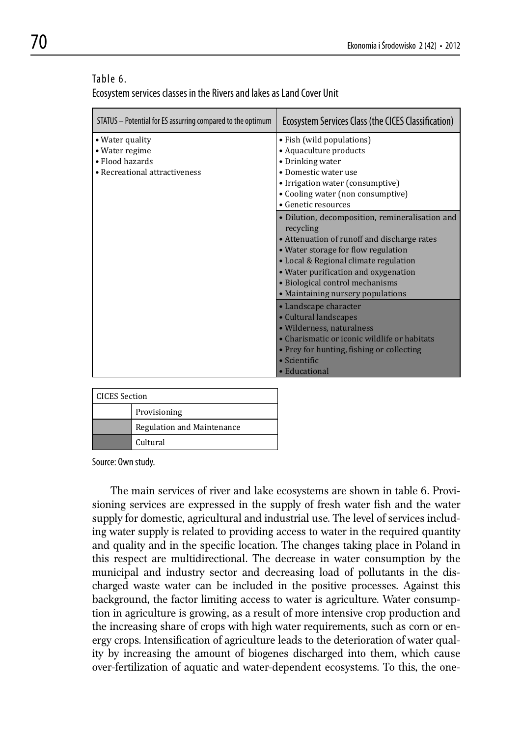#### Table 6.

Ecosystem services classes in the Rivers and lakes as Land Cover Unit

| STATUS – Potential for ES assurring compared to the optimum                           | Ecosystem Services Class (the CICES Classification)                                                                                                                                                                                                                                                         |
|---------------------------------------------------------------------------------------|-------------------------------------------------------------------------------------------------------------------------------------------------------------------------------------------------------------------------------------------------------------------------------------------------------------|
| • Water quality<br>• Water regime<br>• Flood hazards<br>• Recreational attractiveness | • Fish (wild populations)<br>• Aquaculture products<br>• Drinking water<br>• Domestic water use<br>• Irrigation water (consumptive)<br>• Cooling water (non consumptive)<br>• Genetic resources                                                                                                             |
|                                                                                       | • Dilution, decomposition, remineralisation and<br>recycling<br>• Attenuation of runoff and discharge rates<br>• Water storage for flow regulation<br>• Local & Regional climate regulation<br>• Water purification and oxygenation<br>• Biological control mechanisms<br>• Maintaining nursery populations |
|                                                                                       | • Landscape character<br>• Cultural landscapes<br>• Wilderness, naturalness<br>• Charismatic or iconic wildlife or habitats<br>• Prey for hunting, fishing or collecting<br>$\bullet$ Scientific<br>• Educational                                                                                           |

| <b>CICES</b> Section |                            |  |
|----------------------|----------------------------|--|
|                      | Provisioning               |  |
|                      | Regulation and Maintenance |  |
|                      | Cultural                   |  |

Source: Own study.

 The main services of river and lake ecosystems are shown in table 6. Provisioning services are expressed in the supply of fresh water fish and the water supply for domestic, agricultural and industrial use. The level of services including water supply is related to providing access to water in the required quantity and quality and in the specific location. The changes taking place in Poland in this respect are multidirectional. The decrease in water consumption by the municipal and industry sector and decreasing load of pollutants in the discharged waste water can be included in the positive processes. Against this background, the factor limiting access to water is agriculture. Water consumption in agriculture is growing, as a result of more intensive crop production and the increasing share of crops with high water requirements, such as corn or energy crops. Intensification of agriculture leads to the deterioration of water quality by increasing the amount of biogenes discharged into them, which cause over-fertilization of aquatic and water-dependent ecosystems. To this, the one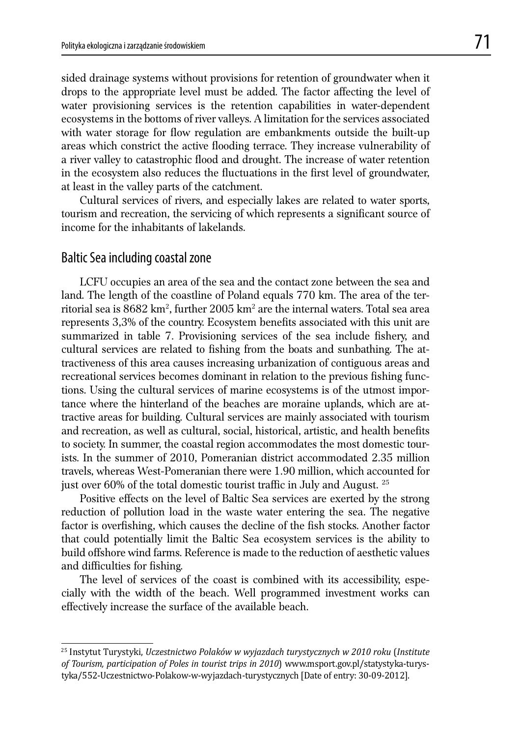sided drainage systems without provisions for retention of groundwater when it drops to the appropriate level must be added. The factor affecting the level of water provisioning services is the retention capabilities in water-dependent ecosystems in the bottoms of river valleys. A limitation for the services associated with water storage for flow regulation are embankments outside the built-up areas which constrict the active flooding terrace. They increase vulnerability of a river valley to catastrophic flood and drought. The increase of water retention in the ecosystem also reduces the fluctuations in the first level of groundwater, at least in the valley parts of the catchment.

 Cultural services of rivers, and especially lakes are related to water sports, tourism and recreation, the servicing of which represents a significant source of income for the inhabitants of lakelands.

## Baltic Sea including coastal zone

 LCFU occupies an area of the sea and the contact zone between the sea and land. The length of the coastline of Poland equals 770 km. The area of the territorial sea is  $8682 \ \mathrm{km^2}$ , further  $2005 \ \mathrm{km^2}$  are the internal waters. Total sea area represents 3,3% of the country. Ecosystem benefits associated with this unit are summarized in table 7. Provisioning services of the sea include fishery, and cultural services are related to fishing from the boats and sunbathing. The attractiveness of this area causes increasing urbanization of contiguous areas and recreational services becomes dominant in relation to the previous fishing functions. Using the cultural services of marine ecosystems is of the utmost importance where the hinterland of the beaches are moraine uplands, which are attractive areas for building. Cultural services are mainly associated with tourism and recreation, as well as cultural, social, historical, artistic, and health benefits to society. In summer, the coastal region accommodates the most domestic tourists. In the summer of 2010, Pomeranian district accommodated 2.35 million travels, whereas West-Pomeranian there were 1.90 million, which accounted for just over 60% of the total domestic tourist traffic in July and August.  $25$ 

Positive effects on the level of Baltic Sea services are exerted by the strong reduction of pollution load in the waste water entering the sea. The negative factor is overfishing, which causes the decline of the fish stocks. Another factor that could potentially limit the Baltic Sea ecosystem services is the ability to build offshore wind farms. Reference is made to the reduction of aesthetic values and difficulties for fishing.

 The level of services of the coast is combined with its accessibility, especially with the width of the beach. Well programmed investment works can effectively increase the surface of the available beach.

<sup>25</sup> Instytut Turystyki, *Uczestnictwo Polaków w wyjazdach turystycznych w 2010 roku* (*Institute of Tourism, participation of Poles in tourist trips in 2010*) www.msport.gov.pl/statystyka-turystyka/552-Uczestnictwo-Polakow-w-wyjazdach-turystycznych [Date of entry: 30-09-2012].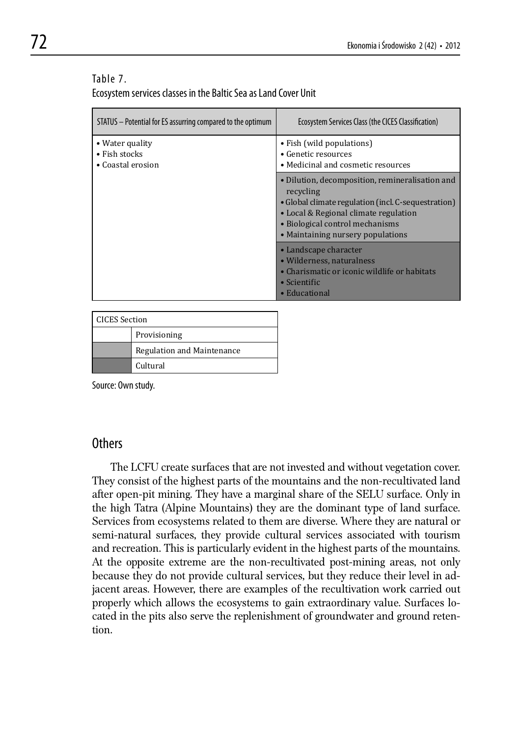#### Table 7.

Ecosystem services classes in the Baltic Sea as Land Cover Unit

| STATUS - Potential for ES assurring compared to the optimum | Ecosystem Services Class (the CICES Classification)                                                                                                                                                                                  |
|-------------------------------------------------------------|--------------------------------------------------------------------------------------------------------------------------------------------------------------------------------------------------------------------------------------|
| • Water quality<br>• Fish stocks<br>• Coastal erosion       | • Fish (wild populations)<br>$\bullet$ Genetic resources<br>• Medicinal and cosmetic resources                                                                                                                                       |
|                                                             | • Dilution, decomposition, remineralisation and<br>recycling<br>• Global climate regulation (incl. C-sequestration)<br>• Local & Regional climate regulation<br>• Biological control mechanisms<br>• Maintaining nursery populations |
|                                                             | • Landscape character<br>• Wilderness, naturalness<br>• Charismatic or iconic wildlife or habitats<br>$\bullet$ Scientific<br>• Educational                                                                                          |

| <b>CICES</b> Section |                            |
|----------------------|----------------------------|
|                      | Provisioning               |
|                      | Regulation and Maintenance |
|                      | Cultural                   |

Source: Own study.

### Others

 The LCFU create surfaces that are not invested and without vegetation cover. They consist of the highest parts of the mountains and the non-recultivated land after open-pit mining. They have a marginal share of the SELU surface. Only in the high Tatra (Alpine Mountains) they are the dominant type of land surface. Services from ecosystems related to them are diverse. Where they are natural or semi-natural surfaces, they provide cultural services associated with tourism and recreation. This is particularly evident in the highest parts of the mountains. At the opposite extreme are the non-recultivated post-mining areas, not only because they do not provide cultural services, but they reduce their level in adjacent areas. However, there are examples of the recultivation work carried out properly which allows the ecosystems to gain extraordinary value. Surfaces located in the pits also serve the replenishment of groundwater and ground retention.